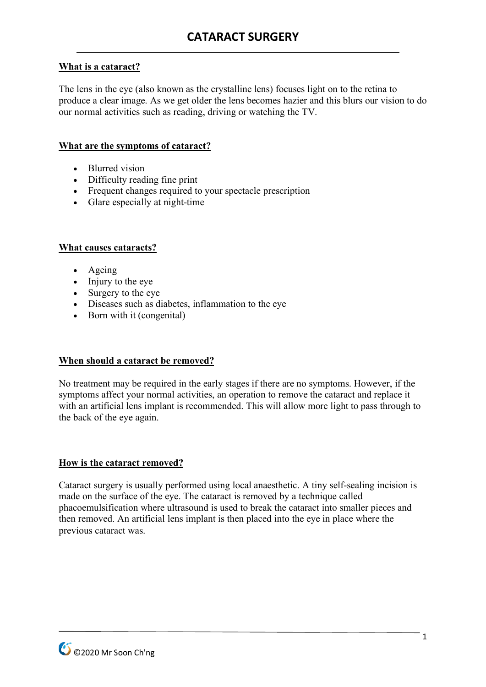# **What is a cataract?**

The lens in the eye (also known as the crystalline lens) focuses light on to the retina to produce a clear image. As we get older the lens becomes hazier and this blurs our vision to do our normal activities such as reading, driving or watching the TV.

## **What are the symptoms of cataract?**

- Blurred vision
- Difficulty reading fine print
- Frequent changes required to your spectacle prescription
- Glare especially at night-time

## **What causes cataracts?**

- Ageing
- Injury to the eye
- Surgery to the eye
- Diseases such as diabetes, inflammation to the eye
- Born with it (congenital)

## **When should a cataract be removed?**

No treatment may be required in the early stages if there are no symptoms. However, if the symptoms affect your normal activities, an operation to remove the cataract and replace it with an artificial lens implant is recommended. This will allow more light to pass through to the back of the eye again.

#### **How is the cataract removed?**

Cataract surgery is usually performed using local anaesthetic. A tiny self-sealing incision is made on the surface of the eye. The cataract is removed by a technique called phacoemulsification where ultrasound is used to break the cataract into smaller pieces and then removed. An artificial lens implant is then placed into the eye in place where the previous cataract was.